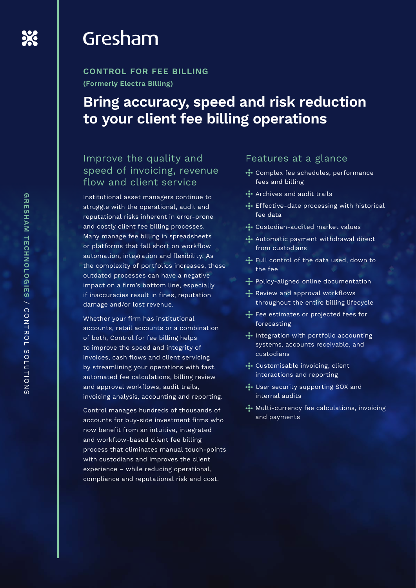## Gresham

**CONTROL FOR FEE BILLING (Formerly Electra Billing)**

### **Bring accuracy, speed and risk reduction to your client fee billing operations**

### Improve the quality and speed of invoicing, revenue flow and client service

Institutional asset managers continue to struggle with the operational, audit and reputational risks inherent in error-prone and costly client fee billing processes. Many manage fee billing in spreadsheets or platforms that fall short on workflow automation, integration and flexibility. As the complexity of portfolios increases, these outdated processes can have a negative impact on a firm's bottom line, especially if inaccuracies result in fines, reputation damage and/or lost revenue.

Whether your firm has institutional accounts, retail accounts or a combination of both, Control for fee billing helps to improve the speed and integrity of invoices, cash flows and client servicing by streamlining your operations with fast, automated fee calculations, billing review and approval workflows, audit trails, invoicing analysis, accounting and reporting.

Control manages hundreds of thousands of accounts for buy-side investment firms who now benefit from an intuitive, integrated and workflow-based client fee billing process that eliminates manual touch-points with custodians and improves the client experience – while reducing operational, compliance and reputational risk and cost.

#### Features at a glance

- Complex fee schedules, performance fees and billing
- Archives and audit trails
- **Effective-date processing with historical** fee data
- Custodian-audited market values
- Automatic payment withdrawal direct from custodians
- Full control of the data used, down to the fee
- Policy-aligned online documentation
- Review and approval workflows throughout the entire billing lifecycle
- Fee estimates or projected fees for forecasting
- $\cdot \cdot \cdot$  Integration with portfolio accounting systems, accounts receivable, and custodians
- + Customisable invoicing, client interactions and reporting
- User security supporting SOX and internal audits
- $\cdot$  Multi-currency fee calculations, invoicing and payments